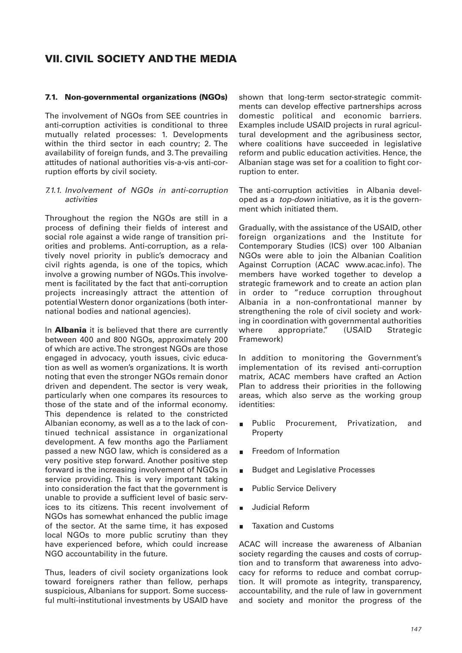# **VII. CIVIL SOCIETY AND THE MEDIA**

#### **7.1. Non-governmental organizations (NGOs)**

The involvement of NGOs from SEE countries in anti-corruption activities is conditional to three mutually related processes: 1. Developments within the third sector in each country; 2. The availability of foreign funds, and 3. The prevailing attitudes of national authorities vis-a-vis anti-corruption efforts by civil society.

#### 7.1.1. Involvement of NGOs in anti-corruption activities

Throughout the region the NGOs are still in a process of defining their fields of interest and social role against a wide range of transition priorities and problems. Anti-corruption, as a relatively novel priority in public's democracy and civil rights agenda, is one of the topics, which involve a growing number of NGOs. This involvement is facilitated by the fact that anti-corruption projects increasingly attract the attention of potential Western donor organizations (both international bodies and national agencies).

In **Albania** it is believed that there are currently between 400 and 800 NGOs, approximately 200 of which are active. The strongest NGOs are those engaged in advocacy, youth issues, civic education as well as women's organizations. It is worth noting that even the stronger NGOs remain donor driven and dependent. The sector is very weak, particularly when one compares its resources to those of the state and of the informal economy. This dependence is related to the constricted Albanian economy, as well as a to the lack of continued technical assistance in organizational development. A few months ago the Parliament passed a new NGO law, which is considered as a very positive step forward. Another positive step forward is the increasing involvement of NGOs in service providing. This is very important taking into consideration the fact that the government is unable to provide a sufficient level of basic services to its citizens. This recent involvement of NGOs has somewhat enhanced the public image of the sector. At the same time, it has exposed local NGOs to more public scrutiny than they have experienced before, which could increase NGO accountability in the future.

Thus, leaders of civil society organizations look toward foreigners rather than fellow, perhaps suspicious, Albanians for support. Some successful multi-institutional investments by USAID have

shown that long-term sector-strategic commitments can develop effective partnerships across domestic political and economic barriers. Examples include USAID projects in rural agricultural development and the agribusiness sector, where coalitions have succeeded in legislative reform and public education activities. Hence, the Albanian stage was set for a coalition to fight corruption to enter.

The anti-corruption activities in Albania developed as a top-down initiative, as it is the government which initiated them.

Gradually, with the assistance of the USAID, other foreign organizations and the Institute for Contemporary Studies (ICS) over 100 Albanian NGOs were able to join the Albanian Coalition Against Corruption (ACAC www.acac.info). The members have worked together to develop a strategic framework and to create an action plan in order to "reduce corruption throughout Albania in a non-confrontational manner by strengthening the role of civil society and working in coordination with governmental authorities where appropriate." (USAID Strategic Framework)

In addition to monitoring the Government's implementation of its revised anti-corruption matrix, ACAC members have crafted an Action Plan to address their priorities in the following areas, which also serve as the working group identities:

- Public Procurement, Privatization, and  $\blacksquare$ Property
- Freedom of Information
- Budget and Legislative Processes
- Public Service Delivery
- Judicial Reform
- Taxation and Customs

ACAC will increase the awareness of Albanian society regarding the causes and costs of corruption and to transform that awareness into advocacy for reforms to reduce and combat corruption. It will promote as integrity, transparency, accountability, and the rule of law in government and society and monitor the progress of the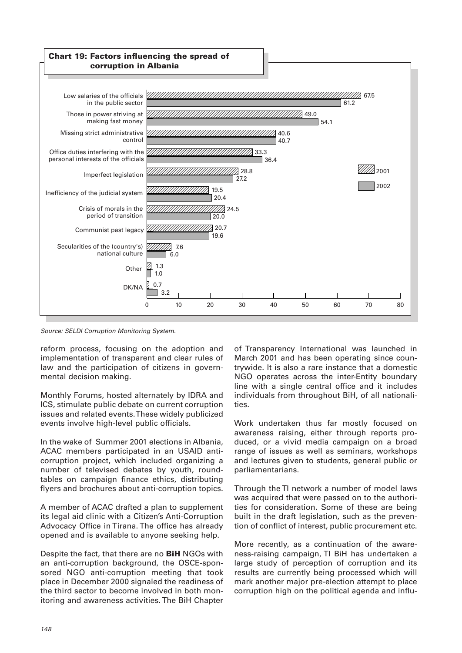

Source: SELDI Corruption Monitoring System.

reform process, focusing on the adoption and implementation of transparent and clear rules of law and the participation of citizens in governmental decision making.

Monthly Forums, hosted alternately by IDRA and ICS, stimulate public debate on current corruption issues and related events. These widely publicized events involve high-level public officials.

In the wake of Summer 2001 elections in Albania, ACAC members participated in an USAID anticorruption project, which included organizing a number of televised debates by youth, roundtables on campaign finance ethics, distributing flyers and brochures about anti-corruption topics.

A member of ACAC drafted a plan to supplement its legal aid clinic with a Citizen's Anti-Corruption Advocacy Office in Tirana. The office has already opened and is available to anyone seeking help.

Despite the fact, that there are no **BiH** NGOs with an anti-corruption background, the OSCE-sponsored NGO anti-corruption meeting that took place in December 2000 signaled the readiness of the third sector to become involved in both monitoring and awareness activities. The BiH Chapter

of Transparency International was launched in March 2001 and has been operating since countrywide. It is also a rare instance that a domestic NGO operates across the inter-Entity boundary line with a single central office and it includes individuals from throughout BiH, of all nationalities.

Work undertaken thus far mostly focused on awareness raising, either through reports produced, or a vivid media campaign on a broad range of issues as well as seminars, workshops and lectures given to students, general public or parliamentarians.

Through the TI network a number of model laws was acquired that were passed on to the authorities for consideration. Some of these are being built in the draft legislation, such as the prevention of conflict of interest, public procurement etc.

More recently, as a continuation of the awareness-raising campaign, TI BiH has undertaken a large study of perception of corruption and its results are currently being processed which will mark another major pre-election attempt to place corruption high on the political agenda and influ-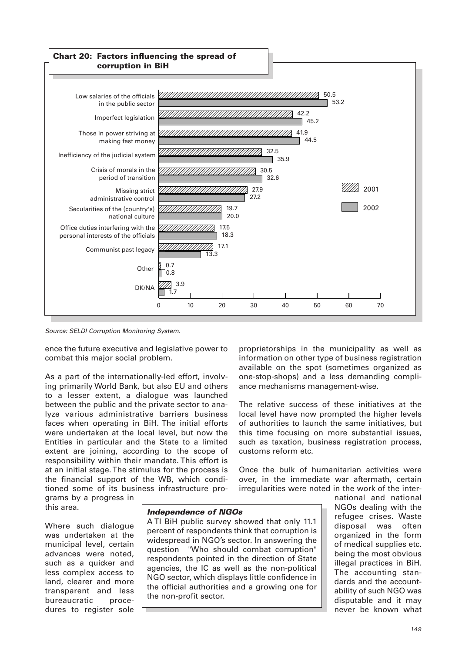

Source: SELDI Corruption Monitoring System.

ence the future executive and legislative power to combat this major social problem.

As a part of the internationally-led effort, involving primarily World Bank, but also EU and others to a lesser extent, a dialogue was launched between the public and the private sector to analyze various administrative barriers business faces when operating in BiH. The initial efforts were undertaken at the local level, but now the Entities in particular and the State to a limited extent are joining, according to the scope of responsibility within their mandate. This effort is at an initial stage. The stimulus for the process is the financial support of the WB, which conditioned some of its business infrastructure programs by a progress in

this area.

Where such dialogue was undertaken at the municipal level, certain advances were noted, such as a quicker and less complex access to land, clearer and more transparent and less bureaucratic procedures to register sole

## *Independence of NGOs*

A TI BiH public survey showed that only 11.1 percent of respondents think that corruption is widespread in NGO's sector. In answering the question "Who should combat corruption" respondents pointed in the direction of State agencies, the IC as well as the non-political NGO sector, which displays little confidence in the official authorities and a growing one for the non-profit sector.

proprietorships in the municipality as well as information on other type of business registration available on the spot (sometimes organized as one-stop-shops) and a less demanding compliance mechanisms management-wise.

The relative success of these initiatives at the local level have now prompted the higher levels of authorities to launch the same initiatives, but this time focusing on more substantial issues, such as taxation, business registration process, customs reform etc.

Once the bulk of humanitarian activities were over, in the immediate war aftermath, certain irregularities were noted in the work of the inter-

> national and national NGOs dealing with the refugee crises. Waste disposal was often organized in the form of medical supplies etc. being the most obvious illegal practices in BiH. The accounting standards and the accountability of such NGO was disputable and it may never be known what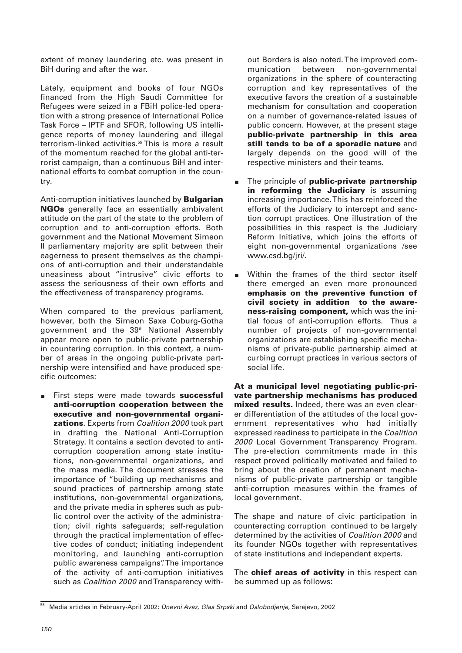extent of money laundering etc. was present in BiH during and after the war.

Lately, equipment and books of four NGOs financed from the High Saudi Committee for Refugees were seized in a FBiH police-led operation with a strong presence of International Police Task Force – IPTF and SFOR, following US intelligence reports of money laundering and illegal terrorism-linked activities.<sup>55</sup> This is more a result of the momentum reached for the global anti-terrorist campaign, than a continuous BiH and international efforts to combat corruption in the country.

Anti-corruption initiatives launched by **Bulgarian NGOs** generally face an essentially ambivalent attitude on the part of the state to the problem of corruption and to anti-corruption efforts. Both government and the National Movement Simeon II parliamentary majority are split between their eagerness to present themselves as the champions of anti-corruption and their understandable uneasiness about "intrusive" civic efforts to assess the seriousness of their own efforts and the effectiveness of transparency programs.

When compared to the previous parliament, however, both the Simeon Saxe Coburg-Gotha government and the 39th National Assembly appear more open to public-private partnership in countering corruption. In this context, a number of areas in the ongoing public-private partnership were intensified and have produced specific outcomes:

First steps were made towards **successful anti-corruption cooperation between the executive and non-governmental organizations**. Experts from Coalition 2000 took part in drafting the National Anti-Corruption Strategy. It contains a section devoted to anticorruption cooperation among state institutions, non-governmental organizations, and the mass media. The document stresses the importance of "building up mechanisms and sound practices of partnership among state institutions, non-governmental organizations, and the private media in spheres such as public control over the activity of the administration; civil rights safeguards; self-regulation through the practical implementation of effective codes of conduct; initiating independent monitoring, and launching anti-corruption public awareness campaigns". The importance of the activity of anti-corruption initiatives such as Coalition 2000 and Transparency without Borders is also noted. The improved communication between non-governmental organizations in the sphere of counteracting corruption and key representatives of the executive favors the creation of a sustainable mechanism for consultation and cooperation on a number of governance-related issues of public concern. However, at the present stage **public-private partnership in this area still tends to be of a sporadic nature** and largely depends on the good will of the respective ministers and their teams.

- The principle of **public-private partnership**  $\blacksquare$ **in reforming the Judiciary** is assuming increasing importance. This has reinforced the efforts of the Judiciary to intercept and sanction corrupt practices. One illustration of the possibilities in this respect is the Judiciary Reform Initiative, which joins the efforts of eight non-governmental organizations /see www.csd.bg/jri/.
- Within the frames of the third sector itself  $\blacksquare$ there emerged an even more pronounced **emphasis on the preventive function of civil society in addition to the awareness-raising component,** which was the initial focus of anti-corruption efforts. Thus a number of projects of non-governmental organizations are establishing specific mechanisms of private-public partnership aimed at curbing corrupt practices in various sectors of social life.

**At a municipal level negotiating public-private partnership mechanisms has produced mixed results.** Indeed, there was an even clearer differentiation of the attitudes of the local government representatives who had initially expressed readiness to participate in the Coalition 2000 Local Government Transparency Program. The pre-election commitments made in this respect proved politically motivated and failed to bring about the creation of permanent mechanisms of public-private partnership or tangible anti-corruption measures within the frames of local government.

The shape and nature of civic participation in counteracting corruption continued to be largely determined by the activities of Coalition 2000 and its founder NGOs together with representatives of state institutions and independent experts.

The **chief areas of activity** in this respect can be summed up as follows:

<sup>55</sup> Media articles in February-April 2002: Dnevni Avaz, Glas Srpski and Oslobodjenje, Sarajevo, 2002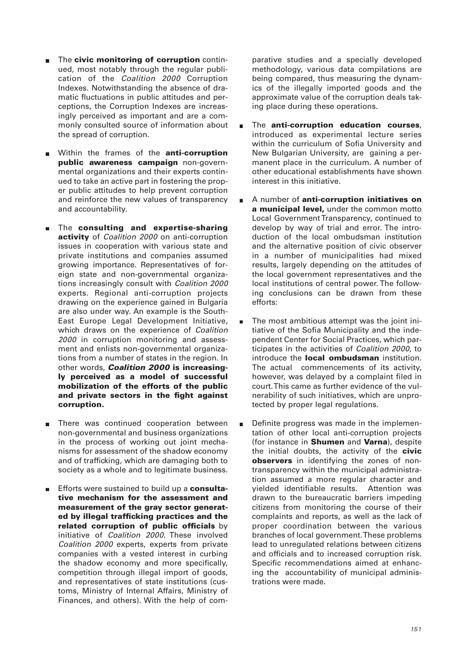- The **civic monitoring of corruption** continued, most notably through the regular publication of the Coalition 2000 Corruption Indexes. Notwithstanding the absence of dramatic fluctuations in public attitudes and perceptions, the Corruption Indexes are increasingly perceived as important and are a commonly consulted source of information about the spread of corruption.
- Within the frames of the **anti-corruption public awareness campaign** non-governmental organizations and their experts continued to take an active part in fostering the proper public attitudes to help prevent corruption and reinforce the new values of transparency and accountability.
- The **consulting and expertise-sharing activity** of Coalition 2000 on anti-corruption issues in cooperation with various state and private institutions and companies assumed growing importance. Representatives of foreign state and non-governmental organizations increasingly consult with Coalition 2000 experts. Regional anti-corruption projects drawing on the experience gained in Bulgaria are also under way. An example is the South-East Europe Legal Development Initiative, which draws on the experience of Coalition 2000 in corruption monitoring and assessment and enlists non-governmental organizations from a number of states in the region. In other words, *Coalition 2000* **is increasingly perceived as a model of successful mobilization of the efforts of the public and private sectors in the fight against corruption.**
- **There was continued cooperation between** non-governmental and business organizations in the process of working out joint mechanisms for assessment of the shadow economy and of trafficking, which are damaging both to society as a whole and to legitimate business.
- $\blacksquare$ Efforts were sustained to build up a **consultative mechanism for the assessment and measurement of the gray sector generated by illegal trafficking practices and the related corruption of public officials** by initiative of Coalition 2000. These involved Coalition 2000 experts, experts from private companies with a vested interest in curbing the shadow economy and more specifically, competition through illegal import of goods, and representatives of state institutions (customs, Ministry of Internal Affairs, Ministry of Finances, and others). With the help of com-

parative studies and a specially developed methodology, various data compilations are being compared, thus measuring the dynamics of the illegally imported goods and the approximate value of the corruption deals taking place during these operations.

- The **anti-corruption education courses**, introduced as experimental lecture series within the curriculum of Sofia University and New Bulgarian University, are gaining a permanent place in the curriculum. A number of other educational establishments have shown interest in this initiative.
- A number of **anti-corruption initiatives on a municipal level,** under the common motto Local Government Transparency, continued to develop by way of trial and error. The introduction of the local ombudsman institution and the alternative position of civic observer in a number of municipalities had mixed results, largely depending on the attitudes of the local government representatives and the local institutions of central power. The following conclusions can be drawn from these efforts:
- The most ambitious attempt was the joint initiative of the Sofia Municipality and the independent Center for Social Practices, which participates in the activities of Coalition 2000, to introduce the **local ombudsman** institution. The actual commencements of its activity, however, was delayed by a complaint filed in court. This came as further evidence of the vulnerability of such initiatives, which are unprotected by proper legal regulations.
- Definite progress was made in the implementation of other local anti-corruption projects (for instance in **Shumen** and **Varna**), despite the initial doubts, the activity of the **civic observers** in identifying the zones of nontransparency within the municipal administration assumed a more regular character and yielded identifiable results. Attention was drawn to the bureaucratic barriers impeding citizens from monitoring the course of their complaints and reports, as well as the lack of proper coordination between the various branches of local government. These problems lead to unregulated relations between citizens and officials and to increased corruption risk. Specific recommendations aimed at enhancing the accountability of municipal administrations were made.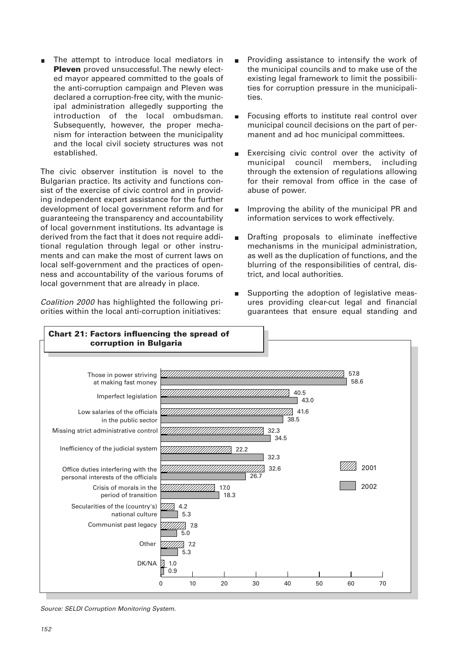The attempt to introduce local mediators in **Pleven** proved unsuccessful. The newly elected mayor appeared committed to the goals of the anti-corruption campaign and Pleven was declared a corruption-free city, with the municipal administration allegedly supporting the introduction of the local ombudsman. Subsequently, however, the proper mechanism for interaction between the municipality and the local civil society structures was not established.

The civic observer institution is novel to the Bulgarian practice. Its activity and functions consist of the exercise of civic control and in providing independent expert assistance for the further development of local government reform and for guaranteeing the transparency and accountability of local government institutions. Its advantage is derived from the fact that it does not require additional regulation through legal or other instruments and can make the most of current laws on local self-government and the practices of openness and accountability of the various forums of local government that are already in place.

Coalition 2000 has highlighted the following priorities within the local anti-corruption initiatives:

- Providing assistance to intensify the work of the municipal councils and to make use of the existing legal framework to limit the possibilities for corruption pressure in the municipalities.
- Focusing efforts to institute real control over  $\blacksquare$ municipal council decisions on the part of permanent and ad hoc municipal committees.
- Exercising civic control over the activity of municipal council members, including through the extension of regulations allowing for their removal from office in the case of abuse of power.
- Improving the ability of the municipal PR and  $\blacksquare$ information services to work effectively.
- Drafting proposals to eliminate ineffective  $\blacksquare$ mechanisms in the municipal administration, as well as the duplication of functions, and the blurring of the responsibilities of central, district, and local authorities.
- Supporting the adoption of legislative measures providing clear-cut legal and financial guarantees that ensure equal standing and



Source: SELDI Corruption Monitoring System.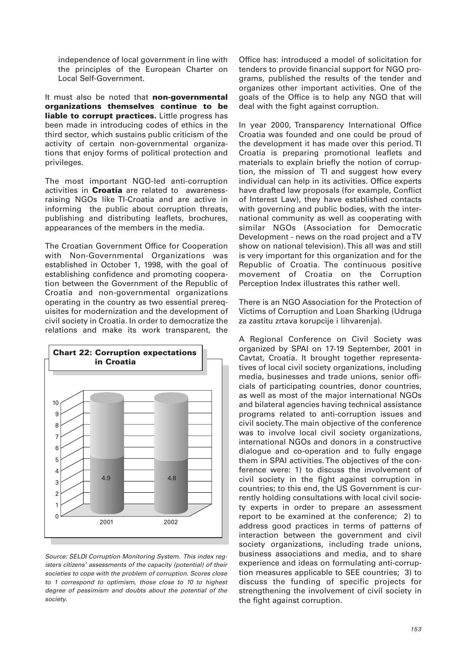independence of local government in line with the principles of the European Charter on Local Self-Government.

It must also be noted that **non-governmental organizations themselves continue to be liable to corrupt practices.** Little progress has been made in introducing codes of ethics in the third sector, which sustains public criticism of the activity of certain non-governmental organizations that enjoy forms of political protection and privileges.

The most important NGO-led anti-corruption activities in **Croatia** are related to awarenessraising NGOs like TI-Croatia and are active in informing the public about corruption threats, publishing and distributing leaflets, brochures, appearances of the members in the media.

The Croatian Government Office for Cooperation with Non-Governmental Organizations was established in October 1, 1998, with the goal of establishing confidence and promoting cooperation between the Government of the Republic of Croatia and non-governmental organizations operating in the country as two essential prerequisites for modernization and the development of civil society in Croatia. In order to democratize the relations and make its work transparent, the



Source: SELDI Corruption Monitoring System. This index registers citizens' assessments of the capacity (potential) of their societies to cope with the problem of corruption. Scores close to 1 correspond to optimism, those close to 10 to highest degree of pessimism and doubts about the potential of the society.

Office has: introduced a model of solicitation for tenders to provide financial support for NGO programs, published the results of the tender and organizes other important activities. One of the goals of the Office is to help any NGO that will deal with the fight against corruption.

In year 2000, Transparency International Office Croatia was founded and one could be proud of the development it has made over this period. TI Croatia is preparing promotional leaflets and materials to explain briefly the notion of corruption, the mission of TI and suggest how every individual can help in its activities. Office experts have drafted law proposals (for example, Conflict of Interest Law), they have established contacts with governing and public bodies, with the international community as well as cooperating with similar NGOs (Association for Democratic Development - news on the road project and a TV show on national television). This all was and still is very important for this organization and for the Republic of Croatia. The continuous positive movement of Croatia on the Corruption Perception Index illustrates this rather well.

There is an NGO Association for the Protection of Victims of Corruption and Loan Sharking (Udruga za zastitu zrtava korupcije i lihvarenja).

A Regional Conference on Civil Society was organized by SPAI on 17-19 September, 2001 in Cavtat, Croatia. It brought together representatives of local civil society organizations, including media, businesses and trade unions, senior officials of participating countries, donor countries, as well as most of the major international NGOs and bilateral agencies having technical assistance programs related to anti-corruption issues and civil society. The main objective of the conference was to involve local civil society organizations, international NGOs and donors in a constructive dialogue and co-operation and to fully engage them in SPAI activities. The objectives of the conference were: 1) to discuss the involvement of civil society in the fight against corruption in countries; to this end, the US Government is currently holding consultations with local civil society experts in order to prepare an assessment report to be examined at the conference; 2) to address good practices in terms of patterns of interaction between the government and civil society organizations, including trade unions, business associations and media, and to share experience and ideas on formulating anti-corruption measures applicable to SEE countries; 3) to discuss the funding of specific projects for strengthening the involvement of civil society in the fight against corruption.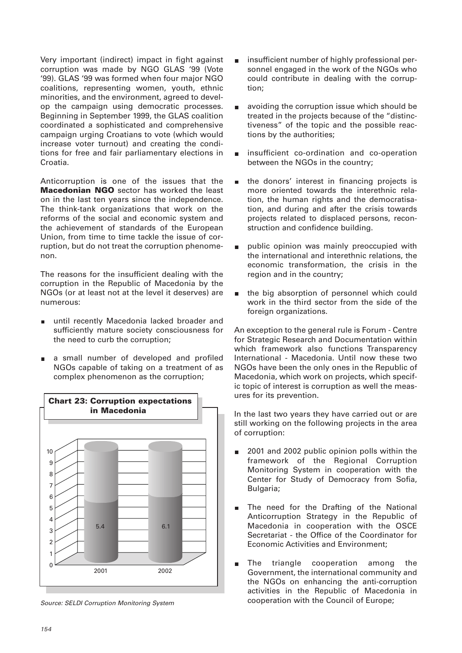Very important (indirect) impact in fight against corruption was made by NGO GLAS '99 (Vote '99). GLAS '99 was formed when four major NGO coalitions, representing women, youth, ethnic minorities, and the environment, agreed to develop the campaign using democratic processes. Beginning in September 1999, the GLAS coalition coordinated a sophisticated and comprehensive campaign urging Croatians to vote (which would increase voter turnout) and creating the conditions for free and fair parliamentary elections in Croatia.

Anticorruption is one of the issues that the **Macedonian NGO** sector has worked the least on in the last ten years since the independence. The think-tank organizations that work on the reforms of the social and economic system and the achievement of standards of the European Union, from time to time tackle the issue of corruption, but do not treat the corruption phenomenon.

The reasons for the insufficient dealing with the corruption in the Republic of Macedonia by the NGOs (or at least not at the level it deserves) are numerous:

- until recently Macedonia lacked broader and sufficiently mature society consciousness for the need to curb the corruption;
- a small number of developed and profiled NGOs capable of taking on a treatment of as complex phenomenon as the corruption;



Source: SELDI Corruption Monitoring System

- insufficient number of highly professional personnel engaged in the work of the NGOs who could contribute in dealing with the corruption;
- $\blacksquare$ avoiding the corruption issue which should be treated in the projects because of the "distinctiveness" of the topic and the possible reactions by the authorities;
- insufficient co-ordination and co-operation between the NGOs in the country;
- the donors' interest in financing projects is  $\blacksquare$ more oriented towards the interethnic relation, the human rights and the democratisation, and during and after the crisis towards projects related to displaced persons, reconstruction and confidence building.
- public opinion was mainly preoccupied with  $\blacksquare$ the international and interethnic relations, the economic transformation, the crisis in the region and in the country;
- the big absorption of personnel which could  $\blacksquare$ work in the third sector from the side of the foreign organizations.

An exception to the general rule is Forum - Centre for Strategic Research and Documentation within which framework also functions Transparency International - Macedonia. Until now these two NGOs have been the only ones in the Republic of Macedonia, which work on projects, which specific topic of interest is corruption as well the measures for its prevention.

In the last two years they have carried out or are still working on the following projects in the area of corruption:

- 2001 and 2002 public opinion polls within the  $\blacksquare$ framework of the Regional Corruption Monitoring System in cooperation with the Center for Study of Democracy from Sofia, Bulgaria;
- The need for the Drafting of the National  $\blacksquare$ Anticorruption Strategy in the Republic of Macedonia in cooperation with the OSCE Secretariat - the Office of the Coordinator for Economic Activities and Environment;
- The triangle cooperation among the Government, the international community and the NGOs on enhancing the anti-corruption activities in the Republic of Macedonia in cooperation with the Council of Europe;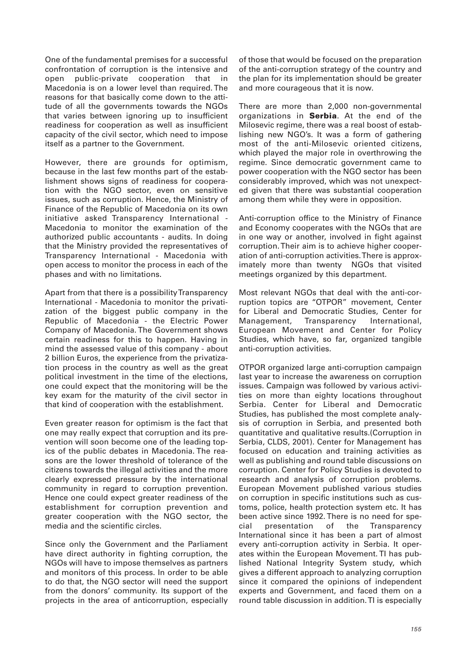One of the fundamental premises for a successful confrontation of corruption is the intensive and open public-private cooperation that in Macedonia is on a lower level than required. The reasons for that basically come down to the attitude of all the governments towards the NGOs that varies between ignoring up to insufficient readiness for cooperation as well as insufficient capacity of the civil sector, which need to impose itself as a partner to the Government.

However, there are grounds for optimism, because in the last few months part of the establishment shows signs of readiness for cooperation with the NGO sector, even on sensitive issues, such as corruption. Hence, the Ministry of Finance of the Republic of Macedonia on its own initiative asked Transparency International - Macedonia to monitor the examination of the authorized public accountants - audits. In doing that the Ministry provided the representatives of Transparency International - Macedonia with open access to monitor the process in each of the phases and with no limitations.

Apart from that there is a possibility Transparency International - Macedonia to monitor the privatization of the biggest public company in the Republic of Macedonia - the Electric Power Company of Macedonia. The Government shows certain readiness for this to happen. Having in mind the assessed value of this company - about 2 billion Euros, the experience from the privatization process in the country as well as the great political investment in the time of the elections, one could expect that the monitoring will be the key exam for the maturity of the civil sector in that kind of cooperation with the establishment.

Even greater reason for optimism is the fact that one may really expect that corruption and its prevention will soon become one of the leading topics of the public debates in Macedonia. The reasons are the lower threshold of tolerance of the citizens towards the illegal activities and the more clearly expressed pressure by the international community in regard to corruption prevention. Hence one could expect greater readiness of the establishment for corruption prevention and greater cooperation with the NGO sector, the media and the scientific circles.

Since only the Government and the Parliament have direct authority in fighting corruption, the NGOs will have to impose themselves as partners and monitors of this process. In order to be able to do that, the NGO sector will need the support from the donors' community. Its support of the projects in the area of anticorruption, especially

of those that would be focused on the preparation of the anti-corruption strategy of the country and the plan for its implementation should be greater and more courageous that it is now.

There are more than 2,000 non-governmental organizations in **Serbia**. At the end of the Milosevic regime, there was a real boost of establishing new NGO's. It was a form of gathering most of the anti-Milosevic oriented citizens, which played the major role in overthrowing the regime. Since democratic government came to power cooperation with the NGO sector has been considerably improved, which was not unexpected given that there was substantial cooperation among them while they were in opposition.

Anti-corruption office to the Ministry of Finance and Economy cooperates with the NGOs that are in one way or another, involved in fight against corruption. Their aim is to achieve higher cooperation of anti-corruption activities. There is approximately more than twenty NGOs that visited meetings organized by this department.

Most relevant NGOs that deal with the anti-corruption topics are "OTPOR" movement, Center for Liberal and Democratic Studies, Center for Management, Transparency International, European Movement and Center for Policy Studies, which have, so far, organized tangible anti-corruption activities.

OTPOR organized large anti-corruption campaign last year to increase the awareness on corruption issues. Campaign was followed by various activities on more than eighty locations throughout Serbia. Center for Liberal and Democratic Studies, has published the most complete analysis of corruption in Serbia, and presented both quantitative and qualitative results.(Corruption in Serbia, CLDS, 2001). Center for Management has focused on education and training activities as well as publishing and round table discussions on corruption. Center for Policy Studies is devoted to research and analysis of corruption problems. European Movement published various studies on corruption in specific institutions such as customs, police, health protection system etc. It has been active since 1992. There is no need for special presentation of the Transparency International since it has been a part of almost every anti-corruption activity in Serbia. It operates within the European Movement. TI has published National Integrity System study, which gives a different approach to analyzing corruption since it compared the opinions of independent experts and Government, and faced them on a round table discussion in addition. TI is especially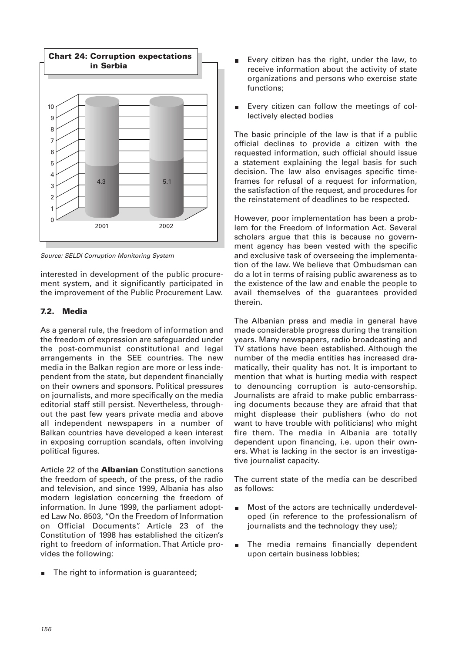

Source: SELDI Corruption Monitoring System

interested in development of the public procurement system, and it significantly participated in the improvement of the Public Procurement Law.

## **7.2. Media**

As a general rule, the freedom of information and the freedom of expression are safeguarded under the post-communist constitutional and legal arrangements in the SEE countries. The new media in the Balkan region are more or less independent from the state, but dependent financially on their owners and sponsors. Political pressures on journalists, and more specifically on the media editorial staff still persist. Nevertheless, throughout the past few years private media and above all independent newspapers in a number of Balkan countries have developed a keen interest in exposing corruption scandals, often involving political figures.

Article 22 of the **Albanian** Constitution sanctions the freedom of speech, of the press, of the radio and television, and since 1999, Albania has also modern legislation concerning the freedom of information. In June 1999, the parliament adopted Law No. 8503, "On the Freedom of Information on Official Documents". Article 23 of the Constitution of 1998 has established the citizen's right to freedom of information. That Article provides the following:

The right to information is guaranteed;

- Every citizen has the right, under the law, to receive information about the activity of state organizations and persons who exercise state functions;
- Every citizen can follow the meetings of col- $\blacksquare$ lectively elected bodies

The basic principle of the law is that if a public official declines to provide a citizen with the requested information, such official should issue a statement explaining the legal basis for such decision. The law also envisages specific timeframes for refusal of a request for information, the satisfaction of the request, and procedures for the reinstatement of deadlines to be respected.

However, poor implementation has been a problem for the Freedom of Information Act. Several scholars argue that this is because no government agency has been vested with the specific and exclusive task of overseeing the implementation of the law. We believe that Ombudsman can do a lot in terms of raising public awareness as to the existence of the law and enable the people to avail themselves of the guarantees provided therein.

The Albanian press and media in general have made considerable progress during the transition years. Many newspapers, radio broadcasting and TV stations have been established. Although the number of the media entities has increased dramatically, their quality has not. It is important to mention that what is hurting media with respect to denouncing corruption is auto-censorship. Journalists are afraid to make public embarrassing documents because they are afraid that that might displease their publishers (who do not want to have trouble with politicians) who might fire them. The media in Albania are totally dependent upon financing, i.e. upon their owners. What is lacking in the sector is an investigative journalist capacity.

The current state of the media can be described as follows:

- Most of the actors are technically underdevel- $\overline{\phantom{a}}$ oped (in reference to the professionalism of journalists and the technology they use);
- The media remains financially dependent  $\mathcal{L}_{\rm{max}}$ upon certain business lobbies;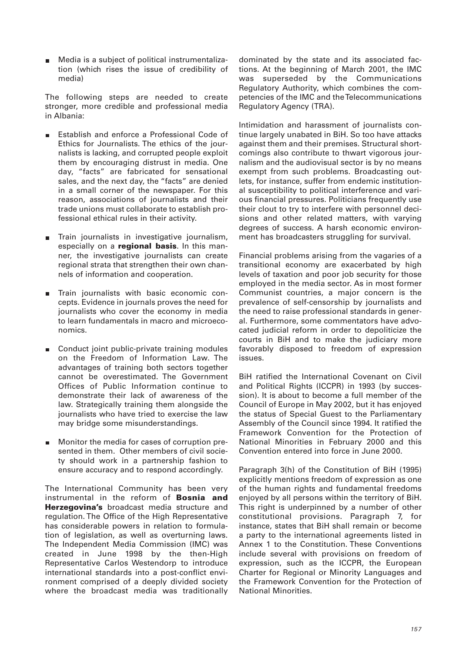Media is a subject of political instrumentalization (which rises the issue of credibility of media)

The following steps are needed to create stronger, more credible and professional media in Albania:

- Establish and enforce a Professional Code of  $\blacksquare$ Ethics for Journalists. The ethics of the journalists is lacking, and corrupted people exploit them by encouraging distrust in media. One day, "facts" are fabricated for sensational sales, and the next day, the "facts" are denied in a small corner of the newspaper. For this reason, associations of journalists and their trade unions must collaborate to establish professional ethical rules in their activity.
- Train journalists in investigative journalism,  $\blacksquare$ especially on a **regional basis**. In this manner, the investigative journalists can create regional strata that strengthen their own channels of information and cooperation.
- Train journalists with basic economic con-Ē. cepts. Evidence in journals proves the need for journalists who cover the economy in media to learn fundamentals in macro and microeconomics.
- Conduct joint public-private training modules  $\blacksquare$ on the Freedom of Information Law. The advantages of training both sectors together cannot be overestimated. The Government Offices of Public Information continue to demonstrate their lack of awareness of the law. Strategically training them alongside the journalists who have tried to exercise the law may bridge some misunderstandings.
- Monitor the media for cases of corruption prem. sented in them. Other members of civil society should work in a partnership fashion to ensure accuracy and to respond accordingly.

The International Community has been very instrumental in the reform of **Bosnia and Herzegovina's** broadcast media structure and regulation. The Office of the High Representative has considerable powers in relation to formulation of legislation, as well as overturning laws. The Independent Media Commission (IMC) was created in June 1998 by the then-High Representative Carlos Westendorp to introduce international standards into a post-conflict environment comprised of a deeply divided society where the broadcast media was traditionally dominated by the state and its associated factions. At the beginning of March 2001, the IMC was superseded by the Communications Regulatory Authority, which combines the competencies of the IMC and the Telecommunications Regulatory Agency (TRA).

Intimidation and harassment of journalists continue largely unabated in BiH. So too have attacks against them and their premises. Structural shortcomings also contribute to thwart vigorous journalism and the audiovisual sector is by no means exempt from such problems. Broadcasting outlets, for instance, suffer from endemic institutional susceptibility to political interference and various financial pressures. Politicians frequently use their clout to try to interfere with personnel decisions and other related matters, with varying degrees of success. A harsh economic environment has broadcasters struggling for survival.

Financial problems arising from the vagaries of a transitional economy are exacerbated by high levels of taxation and poor job security for those employed in the media sector. As in most former Communist countries, a major concern is the prevalence of self-censorship by journalists and the need to raise professional standards in general. Furthermore, some commentators have advocated judicial reform in order to depoliticize the courts in BiH and to make the judiciary more favorably disposed to freedom of expression issues.

BiH ratified the International Covenant on Civil and Political Rights (ICCPR) in 1993 (by succession). It is about to become a full member of the Council of Europe in May 2002, but it has enjoyed the status of Special Guest to the Parliamentary Assembly of the Council since 1994. It ratified the Framework Convention for the Protection of National Minorities in February 2000 and this Convention entered into force in June 2000.

Paragraph 3(h) of the Constitution of BiH (1995) explicitly mentions freedom of expression as one of the human rights and fundamental freedoms enjoyed by all persons within the territory of BiH. This right is underpinned by a number of other constitutional provisions. Paragraph 7, for instance, states that BiH shall remain or become a party to the international agreements listed in Annex 1 to the Constitution. These Conventions include several with provisions on freedom of expression, such as the ICCPR, the European Charter for Regional or Minority Languages and the Framework Convention for the Protection of National Minorities.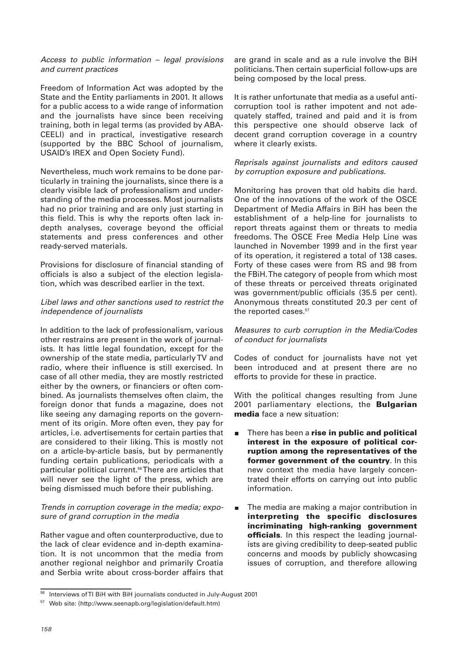#### Access to public information – legal provisions and current practices

Freedom of Information Act was adopted by the State and the Entity parliaments in 2001. It allows for a public access to a wide range of information and the journalists have since been receiving training, both in legal terms (as provided by ABA-CEELI) and in practical, investigative research (supported by the BBC School of journalism, USAID's IREX and Open Society Fund).

Nevertheless, much work remains to be done particularly in training the journalists, since there is a clearly visible lack of professionalism and understanding of the media processes. Most journalists had no prior training and are only just starting in this field. This is why the reports often lack indepth analyses, coverage beyond the official statements and press conferences and other ready-served materials.

Provisions for disclosure of financial standing of officials is also a subject of the election legislation, which was described earlier in the text.

## Libel laws and other sanctions used to restrict the independence of journalists

In addition to the lack of professionalism, various other restrains are present in the work of journalists. It has little legal foundation, except for the ownership of the state media, particularly TV and radio, where their influence is still exercised. In case of all other media, they are mostly restricted either by the owners, or financiers or often combined. As journalists themselves often claim, the foreign donor that funds a magazine, does not like seeing any damaging reports on the government of its origin. More often even, they pay for articles, i.e. advertisements for certain parties that are considered to their liking. This is mostly not on a article-by-article basis, but by permanently funding certain publications, periodicals with a particular political current.<sup>56</sup>There are articles that will never see the light of the press, which are being dismissed much before their publishing.

## Trends in corruption coverage in the media; exposure of grand corruption in the media

Rather vague and often counterproductive, due to the lack of clear evidence and in-depth examination. It is not uncommon that the media from another regional neighbor and primarily Croatia and Serbia write about cross-border affairs that are grand in scale and as a rule involve the BiH politicians. Then certain superficial follow-ups are being composed by the local press.

It is rather unfortunate that media as a useful anticorruption tool is rather impotent and not adequately staffed, trained and paid and it is from this perspective one should observe lack of decent grand corruption coverage in a country where it clearly exists.

## Reprisals against journalists and editors caused by corruption exposure and publications.

Monitoring has proven that old habits die hard. One of the innovations of the work of the OSCE Department of Media Affairs in BiH has been the establishment of a help-line for journalists to report threats against them or threats to media freedoms. The OSCE Free Media Help Line was launched in November 1999 and in the first year of its operation, it registered a total of 138 cases. Forty of these cases were from RS and 98 from the FBiH. The category of people from which most of these threats or perceived threats originated was government/public officials (35.5 per cent). Anonymous threats constituted 20.3 per cent of the reported cases.<sup>57</sup>

## Measures to curb corruption in the Media/Codes of conduct for journalists

Codes of conduct for journalists have not yet been introduced and at present there are no efforts to provide for these in practice.

With the political changes resulting from June 2001 parliamentary elections, the **Bulgarian media** face a new situation:

- There has been a **rise in public and political**  $\blacksquare$ **interest in the exposure of political corruption among the representatives of the former government of the country**. In this new context the media have largely concentrated their efforts on carrying out into public information.
- The media are making a major contribution in  $\blacksquare$ **interpreting the specific disclosures incriminating high-ranking government officials**. In this respect the leading journalists are giving credibility to deep-seated public concerns and moods by publicly showcasing issues of corruption, and therefore allowing

<sup>&</sup>lt;sup>56</sup> Interviews of TI BiH with BiH journalists conducted in July-August 2001

<sup>57</sup> Web site: (http://www.seenapb.org/legislation/default.htm)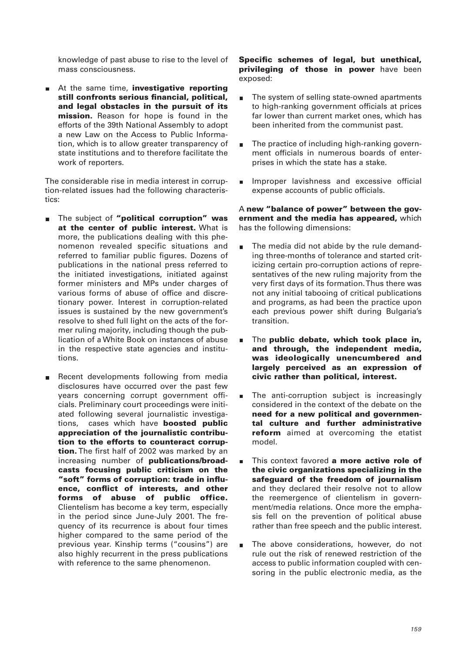knowledge of past abuse to rise to the level of mass consciousness.

At the same time, **investigative reporting** m. **still confronts serious financial, political, and legal obstacles in the pursuit of its mission.** Reason for hope is found in the efforts of the 39th National Assembly to adopt a new Law on the Access to Public Information, which is to allow greater transparency of state institutions and to therefore facilitate the work of reporters.

The considerable rise in media interest in corruption-related issues had the following characteristics:

- The subject of **"political corruption" was** ÷. **at the center of public interest.** What is more, the publications dealing with this phenomenon revealed specific situations and referred to familiar public figures. Dozens of publications in the national press referred to the initiated investigations, initiated against former ministers and MPs under charges of various forms of abuse of office and discretionary power. Interest in corruption-related issues is sustained by the new government's resolve to shed full light on the acts of the former ruling majority, including though the publication of a White Book on instances of abuse in the respective state agencies and institutions.
- Recent developments following from media m. disclosures have occurred over the past few years concerning corrupt government officials. Preliminary court proceedings were initiated following several journalistic investigations, cases which have **boosted public appreciation of the journalistic contribution to the efforts to counteract corruption.** The first half of 2002 was marked by an increasing number of **publications/broadcasts focusing public criticism on the "soft" forms of corruption: trade in influence, conflict of interests, and other forms of abuse of public office.** Clientelism has become a key term, especially in the period since June-July 2001. The frequency of its recurrence is about four times higher compared to the same period of the previous year. Kinship terms ("cousins") are also highly recurrent in the press publications with reference to the same phenomenon.

#### **Specific schemes of legal, but unethical, privileging of those in power** have been exposed:

- The system of selling state-owned apartments to high-ranking government officials at prices far lower than current market ones, which has been inherited from the communist past.
- The practice of including high-ranking govern- $\blacksquare$ ment officials in numerous boards of enterprises in which the state has a stake.
- Improper lavishness and excessive official expense accounts of public officials.

#### A **new "balance of power" between the government and the media has appeared,** which has the following dimensions:

- The media did not abide by the rule demand- $\blacksquare$ ing three-months of tolerance and started criticizing certain pro-corruption actions of representatives of the new ruling majority from the very first days of its formation. Thus there was not any initial tabooing of critical publications and programs, as had been the practice upon each previous power shift during Bulgaria's transition.
- The **public debate, which took place in, and through, the independent media, was ideologically unencumbered and largely perceived as an expression of civic rather than political, interest.**
- The anti-corruption subject is increasingly  $\blacksquare$ considered in the context of the debate on the **need for a new political and governmental culture and further administrative reform** aimed at overcoming the etatist model.
- This context favored **a more active role of the civic organizations specializing in the safeguard of the freedom of journalism** and they declared their resolve not to allow the reemergence of clientelism in government/media relations. Once more the emphasis fell on the prevention of political abuse rather than free speech and the public interest.
- The above considerations, however, do not  $\blacksquare$ rule out the risk of renewed restriction of the access to public information coupled with censoring in the public electronic media, as the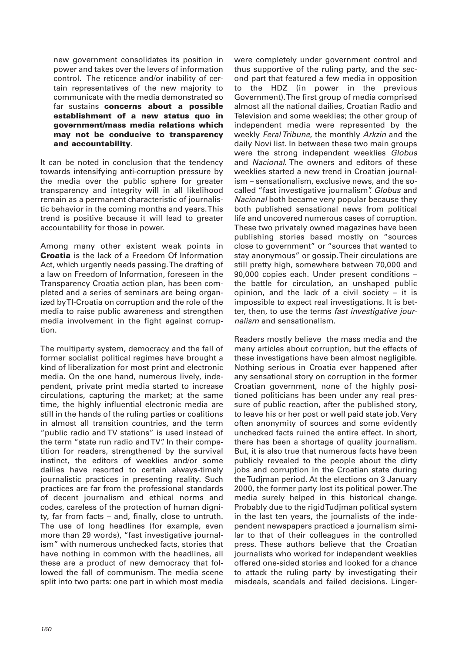new government consolidates its position in power and takes over the levers of information control. The reticence and/or inability of certain representatives of the new majority to communicate with the media demonstrated so far sustains **concerns about a possible establishment of a new status quo in government/mass media relations which may not be conducive to transparency and accountability**.

It can be noted in conclusion that the tendency towards intensifying anti-corruption pressure by the media over the public sphere for greater transparency and integrity will in all likelihood remain as a permanent characteristic of journalistic behavior in the coming months and years. This trend is positive because it will lead to greater accountability for those in power.

Among many other existent weak points in **Croatia** is the lack of a Freedom Of Information Act, which urgently needs passing. The drafting of a law on Freedom of Information, foreseen in the Transparency Croatia action plan, has been completed and a series of seminars are being organized by TI-Croatia on corruption and the role of the media to raise public awareness and strengthen media involvement in the fight against corruption.

The multiparty system, democracy and the fall of former socialist political regimes have brought a kind of liberalization for most print and electronic media. On the one hand, numerous lively, independent, private print media started to increase circulations, capturing the market; at the same time, the highly influential electronic media are still in the hands of the ruling parties or coalitions in almost all transition countries, and the term "public radio and TV stations" is used instead of the term "state run radio and TV". In their competition for readers, strengthened by the survival instinct, the editors of weeklies and/or some dailies have resorted to certain always-timely journalistic practices in presenting reality. Such practices are far from the professional standards of decent journalism and ethical norms and codes, careless of the protection of human dignity, far from facts – and, finally, close to untruth. The use of long headlines (for example, even more than 29 words), "fast investigative journalism" with numerous unchecked facts, stories that have nothing in common with the headlines, all these are a product of new democracy that followed the fall of communism. The media scene split into two parts: one part in which most media

were completely under government control and thus supportive of the ruling party, and the second part that featured a few media in opposition to the HDZ (in power in the previous Government). The first group of media comprised almost all the national dailies, Croatian Radio and Television and some weeklies; the other group of independent media were represented by the weekly Feral Tribune, the monthly Arkzin and the daily Novi list. In between these two main groups were the strong independent weeklies Globus and Nacional. The owners and editors of these weeklies started a new trend in Croatian journalism – sensationalism, exclusive news, and the socalled "fast investigative journalism". Globus and Nacional both became very popular because they both published sensational news from political life and uncovered numerous cases of corruption. These two privately owned magazines have been publishing stories based mostly on "sources close to government" or "sources that wanted to stay anonymous" or gossip. Their circulations are still pretty high, somewhere between 70,000 and 90,000 copies each. Under present conditions – the battle for circulation, an unshaped public opinion, and the lack of a civil society – it is impossible to expect real investigations. It is better, then, to use the terms fast investigative journalism and sensationalism.

Readers mostly believe the mass media and the many articles about corruption, but the effects of these investigations have been almost negligible. Nothing serious in Croatia ever happened after any sensational story on corruption in the former Croatian government, none of the highly positioned politicians has been under any real pressure of public reaction, after the published story, to leave his or her post or well paid state job. Very often anonymity of sources and some evidently unchecked facts ruined the entire effect. In short, there has been a shortage of quality journalism. But, it is also true that numerous facts have been publicly revealed to the people about the dirty jobs and corruption in the Croatian state during the Tudjman period. At the elections on 3 January 2000, the former party lost its political power. The media surely helped in this historical change. Probably due to the rigid Tudjman political system in the last ten years, the journalists of the independent newspapers practiced a journalism similar to that of their colleagues in the controlled press. These authors believe that the Croatian journalists who worked for independent weeklies offered one-sided stories and looked for a chance to attack the ruling party by investigating their misdeals, scandals and failed decisions. Linger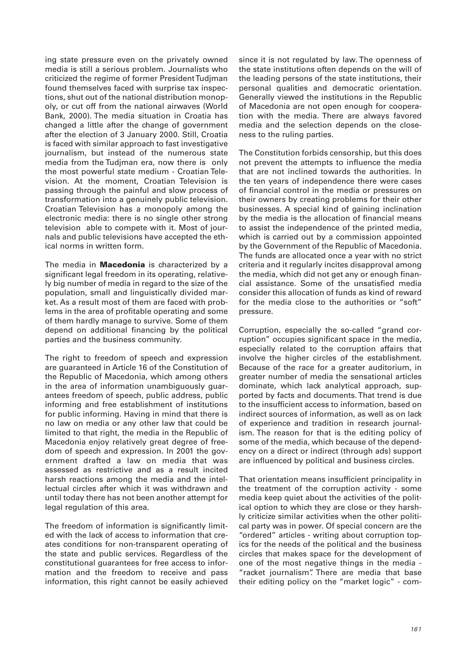ing state pressure even on the privately owned media is still a serious problem. Journalists who criticized the regime of former President Tudjman found themselves faced with surprise tax inspections, shut out of the national distribution monopoly, or cut off from the national airwaves (World Bank, 2000). The media situation in Croatia has changed a little after the change of government after the election of 3 January 2000. Still, Croatia is faced with similar approach to fast investigative journalism, but instead of the numerous state media from the Tudjman era, now there is only the most powerful state medium - Croatian Television. At the moment, Croatian Television is passing through the painful and slow process of transformation into a genuinely public television. Croatian Television has a monopoly among the electronic media: there is no single other strong television able to compete with it. Most of journals and public televisions have accepted the ethical norms in written form.

The media in **Macedonia** is characterized by a significant legal freedom in its operating, relatively big number of media in regard to the size of the population, small and linguistically divided market. As a result most of them are faced with problems in the area of profitable operating and some of them hardly manage to survive. Some of them depend on additional financing by the political parties and the business community.

The right to freedom of speech and expression are guaranteed in Article 16 of the Constitution of the Republic of Macedonia, which among others in the area of information unambiguously guarantees freedom of speech, public address, public informing and free establishment of institutions for public informing. Having in mind that there is no law on media or any other law that could be limited to that right, the media in the Republic of Macedonia enjoy relatively great degree of freedom of speech and expression. In 2001 the government drafted a law on media that was assessed as restrictive and as a result incited harsh reactions among the media and the intellectual circles after which it was withdrawn and until today there has not been another attempt for legal regulation of this area.

The freedom of information is significantly limited with the lack of access to information that creates conditions for non-transparent operating of the state and public services. Regardless of the constitutional guarantees for free access to information and the freedom to receive and pass information, this right cannot be easily achieved

since it is not regulated by law. The openness of the state institutions often depends on the will of the leading persons of the state institutions, their personal qualities and democratic orientation. Generally viewed the institutions in the Republic of Macedonia are not open enough for cooperation with the media. There are always favored media and the selection depends on the closeness to the ruling parties.

The Constitution forbids censorship, but this does not prevent the attempts to influence the media that are not inclined towards the authorities. In the ten years of independence there were cases of financial control in the media or pressures on their owners by creating problems for their other businesses. A special kind of gaining inclination by the media is the allocation of financial means to assist the independence of the printed media, which is carried out by a commission appointed by the Government of the Republic of Macedonia. The funds are allocated once a year with no strict criteria and it regularly incites disapproval among the media, which did not get any or enough financial assistance. Some of the unsatisfied media consider this allocation of funds as kind of reward for the media close to the authorities or "soft" pressure.

Corruption, especially the so-called "grand corruption" occupies significant space in the media, especially related to the corruption affairs that involve the higher circles of the establishment. Because of the race for a greater auditorium, in greater number of media the sensational articles dominate, which lack analytical approach, supported by facts and documents. That trend is due to the insufficient access to information, based on indirect sources of information, as well as on lack of experience and tradition in research journalism. The reason for that is the editing policy of some of the media, which because of the dependency on a direct or indirect (through ads) support are influenced by political and business circles.

That orientation means insufficient principality in the treatment of the corruption activity - some media keep quiet about the activities of the political option to which they are close or they harshly criticize similar activities when the other political party was in power. Of special concern are the "ordered" articles - writing about corruption topics for the needs of the political and the business circles that makes space for the development of one of the most negative things in the media - "racket journalism". There are media that base their editing policy on the "market logic" - com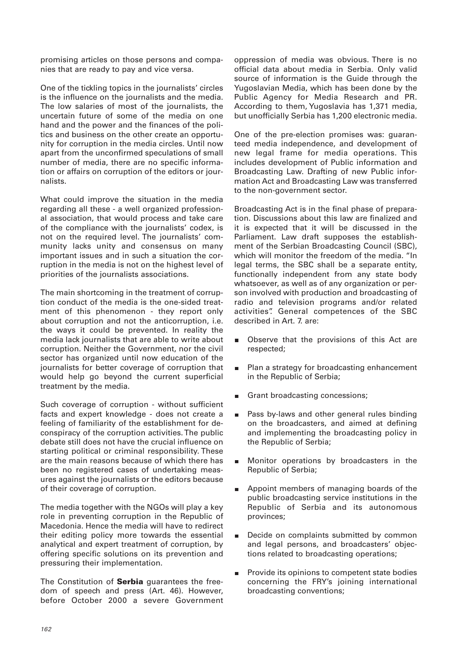promising articles on those persons and companies that are ready to pay and vice versa.

One of the tickling topics in the journalists' circles is the influence on the journalists and the media. The low salaries of most of the journalists, the uncertain future of some of the media on one hand and the power and the finances of the politics and business on the other create an opportunity for corruption in the media circles. Until now apart from the unconfirmed speculations of small number of media, there are no specific information or affairs on corruption of the editors or journalists.

What could improve the situation in the media regarding all these - a well organized professional association, that would process and take care of the compliance with the journalists' codex, is not on the required level. The journalists' community lacks unity and consensus on many important issues and in such a situation the corruption in the media is not on the highest level of priorities of the journalists associations.

The main shortcoming in the treatment of corruption conduct of the media is the one-sided treatment of this phenomenon - they report only about corruption and not the anticorruption, i.e. the ways it could be prevented. In reality the media lack journalists that are able to write about corruption. Neither the Government, nor the civil sector has organized until now education of the journalists for better coverage of corruption that would help go beyond the current superficial treatment by the media.

Such coverage of corruption - without sufficient facts and expert knowledge - does not create a feeling of familiarity of the establishment for deconspiracy of the corruption activities. The public debate still does not have the crucial influence on starting political or criminal responsibility. These are the main reasons because of which there has been no registered cases of undertaking measures against the journalists or the editors because of their coverage of corruption.

The media together with the NGOs will play a key role in preventing corruption in the Republic of Macedonia. Hence the media will have to redirect their editing policy more towards the essential analytical and expert treatment of corruption, by offering specific solutions on its prevention and pressuring their implementation.

The Constitution of **Serbia** guarantees the freedom of speech and press (Art. 46). However, before October 2000 a severe Government oppression of media was obvious. There is no official data about media in Serbia. Only valid source of information is the Guide through the Yugoslavian Media, which has been done by the Public Agency for Media Research and PR. According to them, Yugoslavia has 1,371 media, but unofficially Serbia has 1,200 electronic media.

One of the pre-election promises was: guaranteed media independence, and development of new legal frame for media operations. This includes development of Public information and Broadcasting Law. Drafting of new Public information Act and Broadcasting Law was transferred to the non-government sector.

Broadcasting Act is in the final phase of preparation. Discussions about this law are finalized and it is expected that it will be discussed in the Parliament. Law draft supposes the establishment of the Serbian Broadcasting Council (SBC), which will monitor the freedom of the media. "In legal terms, the SBC shall be a separate entity, functionally independent from any state body whatsoever, as well as of any organization or person involved with production and broadcasting of radio and television programs and/or related activities". General competences of the SBC described in Art. 7. are:

- Observe that the provisions of this Act are  $\blacksquare$ respected;
- $\blacksquare$ Plan a strategy for broadcasting enhancement in the Republic of Serbia;
- Grant broadcasting concessions;
- Pass by-laws and other general rules binding  $\blacksquare$ on the broadcasters, and aimed at defining and implementing the broadcasting policy in the Republic of Serbia;
- Monitor operations by broadcasters in the Republic of Serbia;
- $\blacksquare$ Appoint members of managing boards of the public broadcasting service institutions in the Republic of Serbia and its autonomous provinces;
- Decide on complaints submitted by common  $\blacksquare$ and legal persons, and broadcasters' objections related to broadcasting operations;
- $\blacksquare$ Provide its opinions to competent state bodies concerning the FRY's joining international broadcasting conventions;